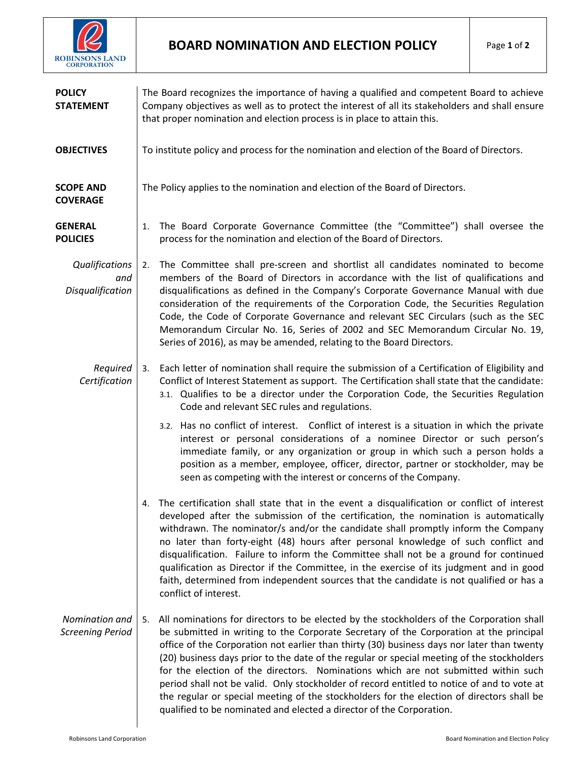

| <b>POLICY</b><br><b>STATEMENT</b>         | The Board recognizes the importance of having a qualified and competent Board to achieve<br>Company objectives as well as to protect the interest of all its stakeholders and shall ensure<br>that proper nomination and election process is in place to attain this.                                                                                                                                                                                                                                                                                                                                                                                                                                                                                            |
|-------------------------------------------|------------------------------------------------------------------------------------------------------------------------------------------------------------------------------------------------------------------------------------------------------------------------------------------------------------------------------------------------------------------------------------------------------------------------------------------------------------------------------------------------------------------------------------------------------------------------------------------------------------------------------------------------------------------------------------------------------------------------------------------------------------------|
| <b>OBJECTIVES</b>                         | To institute policy and process for the nomination and election of the Board of Directors.                                                                                                                                                                                                                                                                                                                                                                                                                                                                                                                                                                                                                                                                       |
| <b>SCOPE AND</b><br><b>COVERAGE</b>       | The Policy applies to the nomination and election of the Board of Directors.                                                                                                                                                                                                                                                                                                                                                                                                                                                                                                                                                                                                                                                                                     |
| <b>GENERAL</b><br><b>POLICIES</b>         | The Board Corporate Governance Committee (the "Committee") shall oversee the<br>1.<br>process for the nomination and election of the Board of Directors.                                                                                                                                                                                                                                                                                                                                                                                                                                                                                                                                                                                                         |
| Qualifications<br>and<br>Disqualification | The Committee shall pre-screen and shortlist all candidates nominated to become<br>2.<br>members of the Board of Directors in accordance with the list of qualifications and<br>disqualifications as defined in the Company's Corporate Governance Manual with due<br>consideration of the requirements of the Corporation Code, the Securities Regulation<br>Code, the Code of Corporate Governance and relevant SEC Circulars (such as the SEC<br>Memorandum Circular No. 16, Series of 2002 and SEC Memorandum Circular No. 19,<br>Series of 2016), as may be amended, relating to the Board Directors.                                                                                                                                                       |
| Required<br>Certification                 | Each letter of nomination shall require the submission of a Certification of Eligibility and<br>3.<br>Conflict of Interest Statement as support. The Certification shall state that the candidate:<br>3.1. Qualifies to be a director under the Corporation Code, the Securities Regulation<br>Code and relevant SEC rules and regulations.<br>3.2. Has no conflict of interest. Conflict of interest is a situation in which the private<br>interest or personal considerations of a nominee Director or such person's<br>immediate family, or any organization or group in which such a person holds a<br>position as a member, employee, officer, director, partner or stockholder, may be<br>seen as competing with the interest or concerns of the Company. |
|                                           | 4. The certification shall state that in the event a disqualification or conflict of interest<br>developed after the submission of the certification, the nomination is automatically<br>withdrawn. The nominator/s and/or the candidate shall promptly inform the Company<br>no later than forty-eight (48) hours after personal knowledge of such conflict and<br>disqualification. Failure to inform the Committee shall not be a ground for continued<br>qualification as Director if the Committee, in the exercise of its judgment and in good<br>faith, determined from independent sources that the candidate is not qualified or has a<br>conflict of interest.                                                                                         |
| Nomination and<br><b>Screening Period</b> | All nominations for directors to be elected by the stockholders of the Corporation shall<br>5.<br>be submitted in writing to the Corporate Secretary of the Corporation at the principal<br>office of the Corporation not earlier than thirty (30) business days nor later than twenty<br>(20) business days prior to the date of the regular or special meeting of the stockholders<br>for the election of the directors. Nominations which are not submitted within such<br>period shall not be valid. Only stockholder of record entitled to notice of and to vote at<br>the regular or special meeting of the stockholders for the election of directors shall be<br>qualified to be nominated and elected a director of the Corporation.                    |